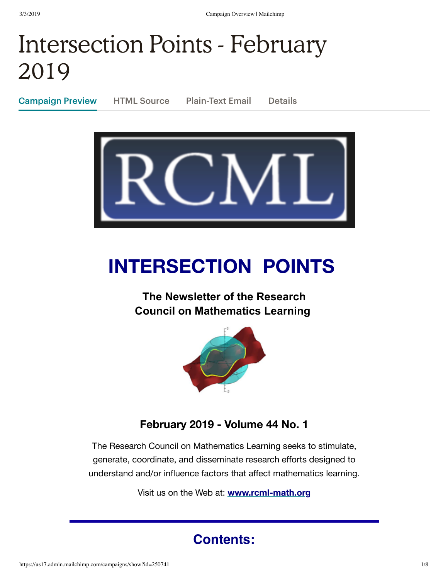# Intersection Points - February 2019

Campaign Preview HTML Source Plain-Text Email Details





# **INTERSECTION POINTS**

## **The Newsletter of the Research Council on Mathematics Learning**



### **February 2019 - Volume 44 No. 1**

The Research Council on Mathematics Learning seeks to stimulate, generate, coordinate, and disseminate research efforts designed to understand and/or influence factors that affect mathematics learning.

Visit us on the Web at: **[www.rcml-math.org](http://www.rcml-math.org/)**

## **Contents:**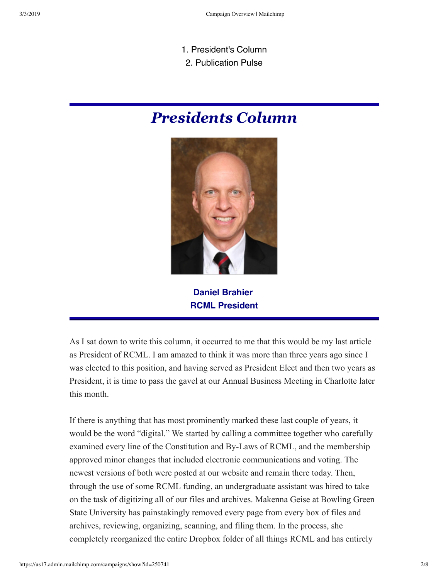- 1. President's Column
- 2. Publication Pulse

## *Presidents Column*



**Daniel Brahier RCML President**

As I sat down to write this column, it occurred to me that this would be my last article as President of RCML. I am amazed to think it was more than three years ago since I was elected to this position, and having served as President Elect and then two years as President, it is time to pass the gavel at our Annual Business Meeting in Charlotte later this month.

If there is anything that has most prominently marked these last couple of years, it would be the word "digital." We started by calling a committee together who carefully examined every line of the Constitution and By-Laws of RCML, and the membership approved minor changes that included electronic communications and voting. The newest versions of both were posted at our website and remain there today. Then, through the use of some RCML funding, an undergraduate assistant was hired to take on the task of digitizing all of our files and archives. Makenna Geise at Bowling Green State University has painstakingly removed every page from every box of files and archives, reviewing, organizing, scanning, and filing them. In the process, she completely reorganized the entire Dropbox folder of all things RCML and has entirely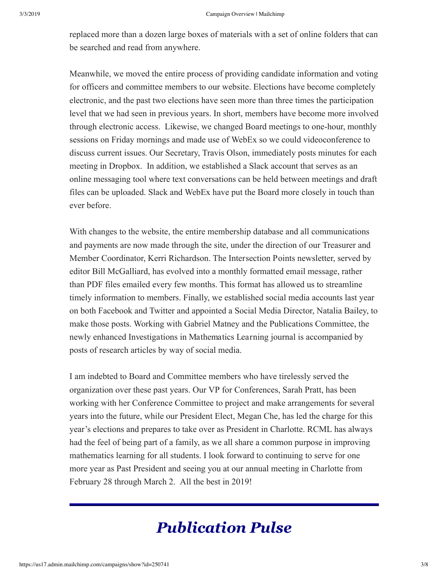replaced more than a dozen large boxes of materials with a set of online folders that can be searched and read from anywhere.

Meanwhile, we moved the entire process of providing candidate information and voting for officers and committee members to our website. Elections have become completely electronic, and the past two elections have seen more than three times the participation level that we had seen in previous years. In short, members have become more involved through electronic access. Likewise, we changed Board meetings to one-hour, monthly sessions on Friday mornings and made use of WebEx so we could videoconference to discuss current issues. Our Secretary, Travis Olson, immediately posts minutes for each meeting in Dropbox. In addition, we established a Slack account that serves as an online messaging tool where text conversations can be held between meetings and draft files can be uploaded. Slack and WebEx have put the Board more closely in touch than ever before.

With changes to the website, the entire membership database and all communications and payments are now made through the site, under the direction of our Treasurer and Member Coordinator, Kerri Richardson. The Intersection Points newsletter, served by editor Bill McGalliard, has evolved into a monthly formatted email message, rather than PDF files emailed every few months. This format has allowed us to streamline timely information to members. Finally, we established social media accounts last year on both Facebook and Twitter and appointed a Social Media Director, Natalia Bailey, to make those posts. Working with Gabriel Matney and the Publications Committee, the newly enhanced Investigations in Mathematics Learning journal is accompanied by posts of research articles by way of social media.

I am indebted to Board and Committee members who have tirelessly served the organization over these past years. Our VP for Conferences, Sarah Pratt, has been working with her Conference Committee to project and make arrangements for several years into the future, while our President Elect, Megan Che, has led the charge for this year's elections and prepares to take over as President in Charlotte. RCML has always had the feel of being part of a family, as we all share a common purpose in improving mathematics learning for all students. I look forward to continuing to serve for one more year as Past President and seeing you at our annual meeting in Charlotte from February 28 through March 2. All the best in 2019!

# *Publication Pulse*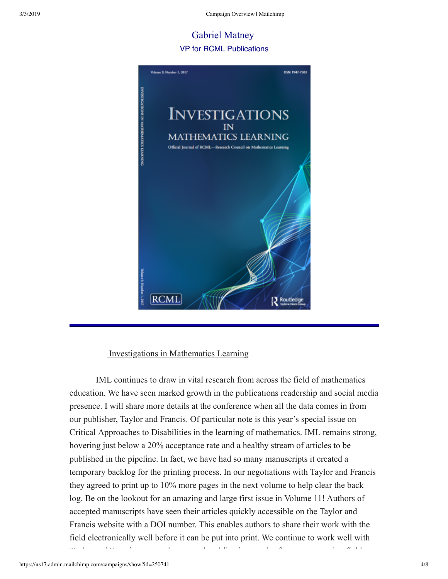### Gabriel Matney VP for RCML Publications



#### Investigations in Mathematics Learning

 IML continues to draw in vital research from across the field of mathematics education. We have seen marked growth in the publications readership and social media presence. I will share more details at the conference when all the data comes in from our publisher, Taylor and Francis. Of particular note is this year's special issue on Critical Approaches to Disabilities in the learning of mathematics. IML remains strong, hovering just below a 20% acceptance rate and a healthy stream of articles to be published in the pipeline. In fact, we have had so many manuscripts it created a temporary backlog for the printing process. In our negotiations with Taylor and Francis they agreed to print up to 10% more pages in the next volume to help clear the back log. Be on the lookout for an amazing and large first issue in Volume 11! Authors of accepted manuscripts have seen their articles quickly accessible on the Taylor and Francis website with a DOI number. This enables authors to share their work with the field electronically well before it can be put into print. We continue to work well with

T l d F i h h bli i d f i fi ld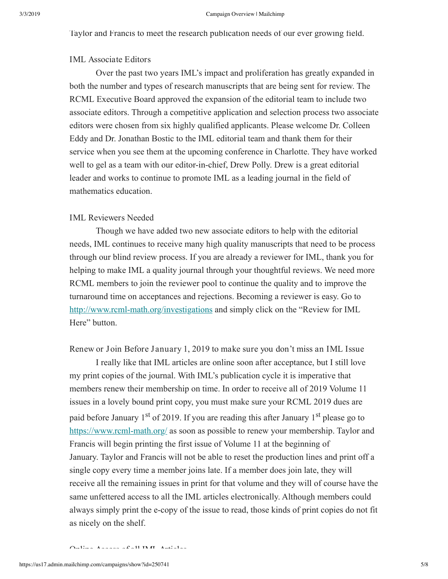Taylor and Francis to meet the research publication needs of our ever growing field.

#### IML Associate Editors

 Over the past two years IML's impact and proliferation has greatly expanded in both the number and types of research manuscripts that are being sent for review. The RCML Executive Board approved the expansion of the editorial team to include two associate editors. Through a competitive application and selection process two associate editors were chosen from six highly qualified applicants. Please welcome Dr. Colleen Eddy and Dr. Jonathan Bostic to the IML editorial team and thank them for their service when you see them at the upcoming conference in Charlotte. They have worked well to gel as a team with our editor-in-chief, Drew Polly. Drew is a great editorial leader and works to continue to promote IML as a leading journal in the field of mathematics education.

#### IML Reviewers Needed

 Though we have added two new associate editors to help with the editorial needs, IML continues to receive many high quality manuscripts that need to be process through our blind review process. If you are already a reviewer for IML, thank you for helping to make IML a quality journal through your thoughtful reviews. We need more RCML members to join the reviewer pool to continue the quality and to improve the turnaround time on acceptances and rejections. Becoming a reviewer is easy. Go to http://www.rcml-math.org/investigations and simply click on the "Review for IML" Here" button.

Renew or Join Before January 1, 2019 to make sure you don't miss an IML Issue

 I really like that IML articles are online soon after acceptance, but I still love my print copies of the journal. With IML's publication cycle it is imperative that members renew their membership on time. In order to receive all of 2019 Volume 11 issues in a lovely bound print copy, you must make sure your RCML 2019 dues are paid before January 1<sup>st</sup> of 2019. If you are reading this after January 1<sup>st</sup> please go to https://www.rcml-math.org/ as soon as possible to renew your membership. Taylor and Francis will begin printing the first issue of Volume 11 at the beginning of January. Taylor and Francis will not be able to reset the production lines and print off a single copy every time a member joins late. If a member does join late, they will receive all the remaining issues in print for that volume and they will of course have the same unfettered access to all the IML articles electronically. Although members could always simply print the ecopy of the issue to read, those kinds of print copies do not fit as nicely on the shelf.

#### $Q_{\text{in}}$ line Access of all IMIL Articles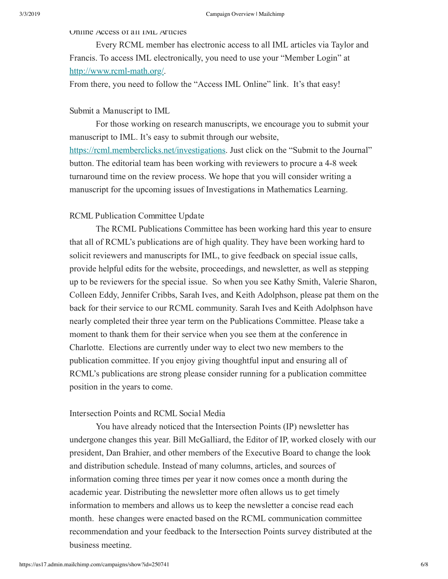Online Access of all IML Articles

 Every RCML member has electronic access to all IML articles via Taylor and Francis. To access IML electronically, you need to use your "Member Login" at http://www.rcml-math.org/.

From there, you need to follow the "Access IML Online" link. It's that easy!

#### Submit a Manuscript to IML

 For those working on research manuscripts, we encourage you to submit your manuscript to IML. It's easy to submit through our website, <https://rcml.memberclicks.net/investigations>. Just click on the "Submit to the Journal" button. The editorial team has been working with reviewers to procure a 48 week turnaround time on the review process. We hope that you will consider writing a manuscript for the upcoming issues of Investigations in Mathematics Learning.

#### RCML Publication Committee Update

 The RCML Publications Committee has been working hard this year to ensure that all of RCML's publications are of high quality. They have been working hard to solicit reviewers and manuscripts for IML, to give feedback on special issue calls, provide helpful edits for the website, proceedings, and newsletter, as well as stepping up to be reviewers for the special issue. So when you see Kathy Smith, Valerie Sharon, Colleen Eddy, Jennifer Cribbs, Sarah Ives, and Keith Adolphson, please pat them on the back for their service to our RCML community. Sarah Ives and Keith Adolphson have nearly completed their three year term on the Publications Committee. Please take a moment to thank them for their service when you see them at the conference in Charlotte. Elections are currently under way to elect two new members to the publication committee. If you enjoy giving thoughtful input and ensuring all of RCML's publications are strong please consider running for a publication committee position in the years to come.

#### Intersection Points and RCML Social Media

 You have already noticed that the Intersection Points (IP) newsletter has undergone changes this year. Bill McGalliard, the Editor of IP, worked closely with our president, Dan Brahier, and other members of the Executive Board to change the look and distribution schedule. Instead of many columns, articles, and sources of information coming three times per year it now comes once a month during the academic year. Distributing the newsletter more often allows us to get timely information to members and allows us to keep the newsletter a concise read each month. hese changes were enacted based on the RCML communication committee recommendation and your feedback to the Intersection Points survey distributed at the business meeting.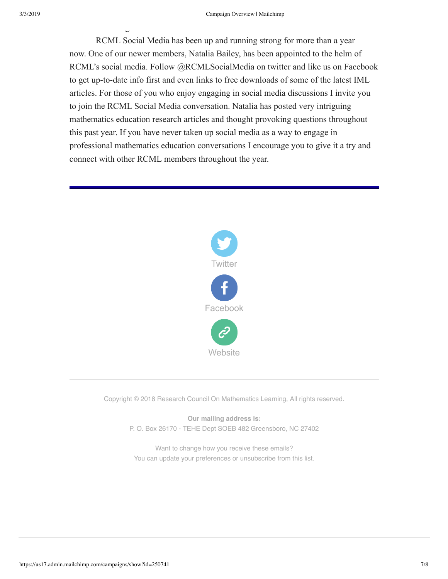g

 RCML Social Media has been up and running strong for more than a year now. One of our newer members, Natalia Bailey, has been appointed to the helm of RCML's social media. Follow @RCMLSocialMedia on twitter and like us on Facebook to get up-to-date info first and even links to free downloads of some of the latest IML articles. For those of you who enjoy engaging in social media discussions I invite you to join the RCML Social Media conversation. Natalia has posted very intriguing mathematics education research articles and thought provoking questions throughout this past year. If you have never taken up social media as a way to engage in professional mathematics education conversations I encourage you to give it a try and connect with other RCML members throughout the year.



Copyright © 2018 Research Council On Mathematics Learning, All rights reserved.

**Our mailing address is:** P. O. Box 26170 - TEHE Dept SOEB 482 Greensboro, NC 27402

Want to change how you receive these emails? You can [update your preferences](https://rcml-math.us17.list-manage.com/profile?u=862dd25d78268b9858c5fd964&id=ebaec14b68&e=[UNIQID]) or [unsubscribe from this list](https://rcml-math.us17.list-manage.com/unsubscribe?u=862dd25d78268b9858c5fd964&id=ebaec14b68&e=[UNIQID]&c=961b317803).